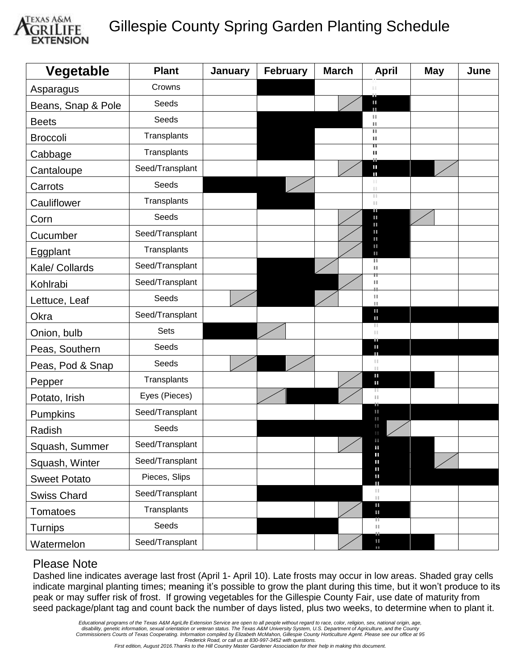

## Gillespie County Spring Garden Planting Schedule

| Vegetable           | <b>Plant</b>    | January | <b>February</b> | <b>March</b> | <b>April</b>                                  | <b>May</b> | June |
|---------------------|-----------------|---------|-----------------|--------------|-----------------------------------------------|------------|------|
| Asparagus           | Crowns          |         |                 |              |                                               |            |      |
| Beans, Snap & Pole  | Seeds           |         |                 |              | œ<br>Ш<br>Ш                                   |            |      |
| <b>Beets</b>        | Seeds           |         |                 |              | Ш<br>ш                                        |            |      |
| <b>Broccoli</b>     | Transplants     |         |                 |              | Ш<br>Ш                                        |            |      |
| Cabbage             | Transplants     |         |                 |              | π<br>ш                                        |            |      |
| Cantaloupe          | Seed/Transplant |         |                 |              | Т<br>П                                        |            |      |
| Carrots             | Seeds           |         |                 |              | ш<br>$\mathbb{H}$                             |            |      |
| Cauliflower         | Transplants     |         |                 |              | H.<br>H.                                      |            |      |
| Corn                | Seeds           |         |                 |              | Ш<br>U.<br>Ш                                  |            |      |
| Cucumber            | Seed/Transplant |         |                 |              | Ш<br>Ш                                        |            |      |
| Eggplant            | Transplants     |         |                 |              | Ш<br>ш                                        |            |      |
| Kale/ Collards      | Seed/Transplant |         |                 |              | π<br>Ш                                        |            |      |
| Kohlrabi            | Seed/Transplant |         |                 |              | Ш                                             |            |      |
| Lettuce, Leaf       | Seeds           |         |                 |              | $\mathbb{H}$<br>Ш                             |            |      |
| Okra                | Seed/Transplant |         |                 |              | ш<br>Ш                                        |            |      |
| Onion, bulb         | <b>Sets</b>     |         |                 |              | Ш<br>Ш<br>ш                                   |            |      |
| Peas, Southern      | Seeds           |         |                 |              | II.<br>т                                      |            |      |
| Peas, Pod & Snap    | Seeds           |         |                 |              | Ш<br>$\mathbb{H}$                             |            |      |
| Pepper              | Transplants     |         |                 |              | Ш<br>Ш                                        |            |      |
| Potato, Irish       | Eyes (Pieces)   |         |                 |              | ш<br>П                                        |            |      |
| Pumpkins            | Seed/Transplant |         |                 |              | Ш<br>ш                                        |            |      |
| Radish              | Seeds           |         |                 |              | Ш<br>$\mathbb{I}$                             |            |      |
| Squash, Summer      | Seed/Transplant |         |                 |              | Ш                                             |            |      |
| Squash, Winter      | Seed/Transplant |         |                 |              | Ш<br>Ш<br>Ш                                   |            |      |
| <b>Sweet Potato</b> | Pieces, Slips   |         |                 |              | Ш<br>Ш                                        |            |      |
| <b>Swiss Chard</b>  | Seed/Transplant |         |                 |              | $\left\vert \cdot \right\vert$<br>$\ \cdot\ $ |            |      |
| Tomatoes            | Transplants     |         |                 |              | Ш<br>Ш                                        |            |      |
| Turnips             | Seeds           |         |                 |              | щ<br>$\ \cdot\ $                              |            |      |
| Watermelon          | Seed/Transplant |         |                 |              | Ш<br>$\blacksquare$                           |            |      |

## Please Note

Dashed line indicates average last frost (April 1- April 10). Late frosts may occur in low areas. Shaded gray cells indicate marginal planting times; meaning it's possible to grow the plant during this time, but it won't produce to its peak or may suffer risk of frost. If growing vegetables for the Gillespie County Fair, use date of maturity from seed package/plant tag and count back the number of days listed, plus two weeks, to determine when to plant it.

*First edition, August 2016.Thanks to the Hill Country Master Gardener Association for their help in making this document.*